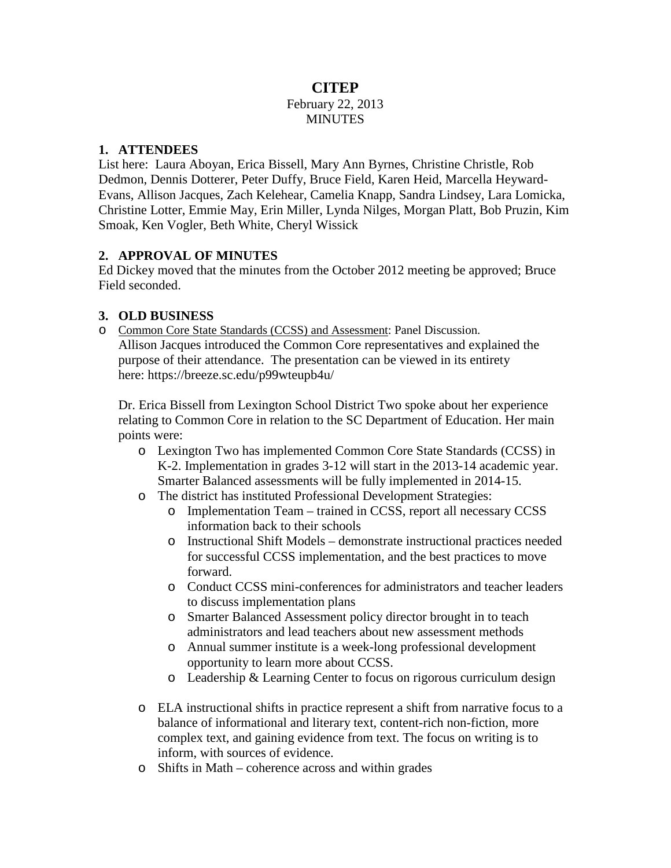### **CITEP** February 22, 2013 **MINUTES**

### **1. ATTENDEES**

List here: Laura Aboyan, Erica Bissell, Mary Ann Byrnes, Christine Christle, Rob Dedmon, Dennis Dotterer, Peter Duffy, Bruce Field, Karen Heid, Marcella Heyward-Evans, Allison Jacques, Zach Kelehear, Camelia Knapp, Sandra Lindsey, Lara Lomicka, Christine Lotter, Emmie May, Erin Miller, Lynda Nilges, Morgan Platt, Bob Pruzin, Kim Smoak, Ken Vogler, Beth White, Cheryl Wissick

### **2. APPROVAL OF MINUTES**

Ed Dickey moved that the minutes from the October 2012 meeting be approved; Bruce Field seconded.

# **3. OLD BUSINESS**

o Common Core State Standards (CCSS) and Assessment: Panel Discussion. Allison Jacques introduced the Common Core representatives and explained the purpose of their attendance. The presentation can be viewed in its entirety here:<https://breeze.sc.edu/p99wteupb4u/>

Dr. Erica Bissell from Lexington School District Two spoke about her experience relating to Common Core in relation to the SC Department of Education. Her main points were:

- o Lexington Two has implemented Common Core State Standards (CCSS) in K-2. Implementation in grades 3-12 will start in the 2013-14 academic year. Smarter Balanced assessments will be fully implemented in 2014-15.
- o The district has instituted Professional Development Strategies:
	- o Implementation Team trained in CCSS, report all necessary CCSS information back to their schools
	- o Instructional Shift Models demonstrate instructional practices needed for successful CCSS implementation, and the best practices to move forward.
	- o Conduct CCSS mini-conferences for administrators and teacher leaders to discuss implementation plans
	- o Smarter Balanced Assessment policy director brought in to teach administrators and lead teachers about new assessment methods
	- o Annual summer institute is a week-long professional development opportunity to learn more about CCSS.
	- o Leadership & Learning Center to focus on rigorous curriculum design
- o ELA instructional shifts in practice represent a shift from narrative focus to a balance of informational and literary text, content-rich non-fiction, more complex text, and gaining evidence from text. The focus on writing is to inform, with sources of evidence.
- o Shifts in Math coherence across and within grades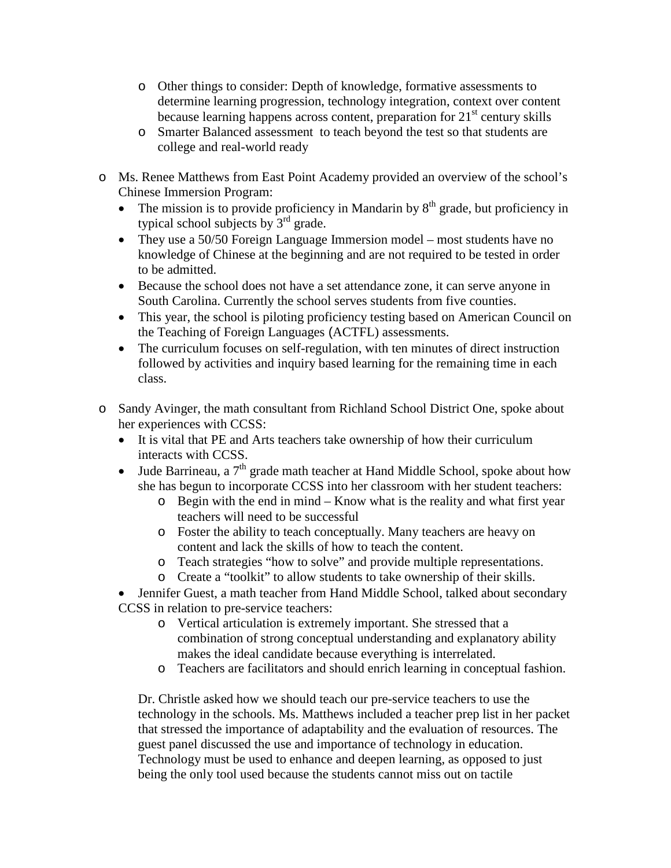- o Other things to consider: Depth of knowledge, formative assessments to determine learning progression, technology integration, context over content because learning happens across content, preparation for  $21<sup>st</sup>$  century skills
- o Smarter Balanced assessment to teach beyond the test so that students are college and real-world ready
- o Ms. Renee Matthews from East Point Academy provided an overview of the school's Chinese Immersion Program:
	- The mission is to provide proficiency in Mandarin by  $8<sup>th</sup>$  grade, but proficiency in typical school subjects by  $3<sup>rd</sup>$  grade.
	- They use a 50/50 Foreign Language Immersion model most students have no knowledge of Chinese at the beginning and are not required to be tested in order to be admitted.
	- Because the school does not have a set attendance zone, it can serve anyone in South Carolina. Currently the school serves students from five counties.
	- This year, the school is piloting proficiency testing based on American Council on the Teaching of Foreign Languages (ACTFL) assessments.
	- The curriculum focuses on self-regulation, with ten minutes of direct instruction followed by activities and inquiry based learning for the remaining time in each class.
- o Sandy Avinger, the math consultant from Richland School District One, spoke about her experiences with CCSS:
	- It is vital that PE and Arts teachers take ownership of how their curriculum interacts with CCSS.
	- Jude Barrineau, a  $7<sup>th</sup>$  grade math teacher at Hand Middle School, spoke about how she has begun to incorporate CCSS into her classroom with her student teachers:
		- o Begin with the end in mind Know what is the reality and what first year teachers will need to be successful
		- o Foster the ability to teach conceptually. Many teachers are heavy on content and lack the skills of how to teach the content.
		- o Teach strategies "how to solve" and provide multiple representations.
		- o Create a "toolkit" to allow students to take ownership of their skills.

• Jennifer Guest, a math teacher from Hand Middle School, talked about secondary CCSS in relation to pre-service teachers:

- o Vertical articulation is extremely important. She stressed that a combination of strong conceptual understanding and explanatory ability makes the ideal candidate because everything is interrelated.
- o Teachers are facilitators and should enrich learning in conceptual fashion.

Dr. Christle asked how we should teach our pre-service teachers to use the technology in the schools. Ms. Matthews included a teacher prep list in her packet that stressed the importance of adaptability and the evaluation of resources. The guest panel discussed the use and importance of technology in education. Technology must be used to enhance and deepen learning, as opposed to just being the only tool used because the students cannot miss out on tactile